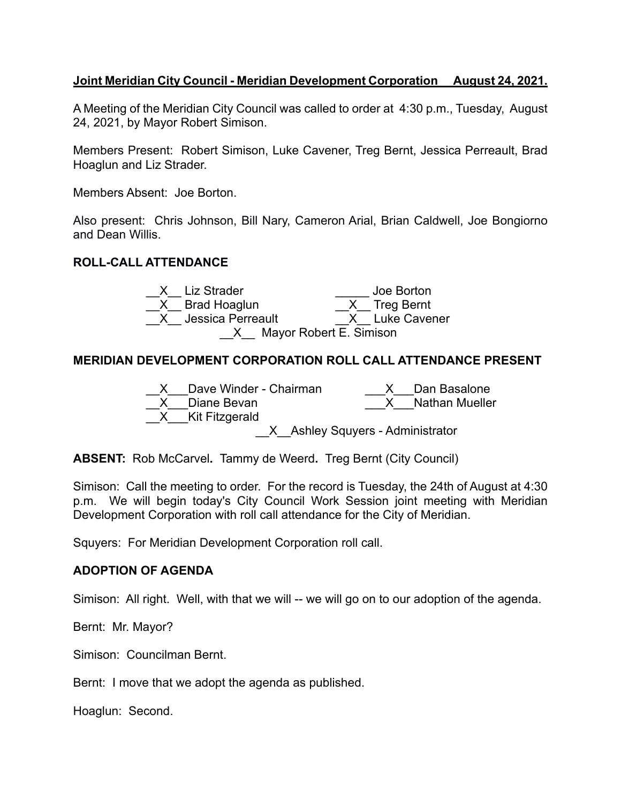### **Joint Meridian City Council - Meridian Development Corporation August 24, 2021.**

A Meeting of the Meridian City Council was called to order at 4:30 p.m., Tuesday, August 24, 2021, by Mayor Robert Simison.

Members Present: Robert Simison, Luke Cavener, Treg Bernt, Jessica Perreault, Brad Hoaglun and Liz Strader.

Members Absent: Joe Borton.

Also present: Chris Johnson, Bill Nary, Cameron Arial, Brian Caldwell, Joe Bongiorno and Dean Willis.

## **ROLL-CALL ATTENDANCE**



## **MERIDIAN DEVELOPMENT CORPORATION ROLL CALL ATTENDANCE PRESENT**



**ABSENT:** Rob McCarvel**.** Tammy de Weerd**.** Treg Bernt (City Council)

Simison: Call the meeting to order. For the record is Tuesday, the 24th of August at 4:30 p.m. We will begin today's City Council Work Session joint meeting with Meridian Development Corporation with roll call attendance for the City of Meridian.

Squyers: For Meridian Development Corporation roll call.

#### **ADOPTION OF AGENDA**

Simison: All right. Well, with that we will -- we will go on to our adoption of the agenda.

Bernt: Mr. Mayor?

Simison: Councilman Bernt.

Bernt: I move that we adopt the agenda as published.

Hoaglun: Second.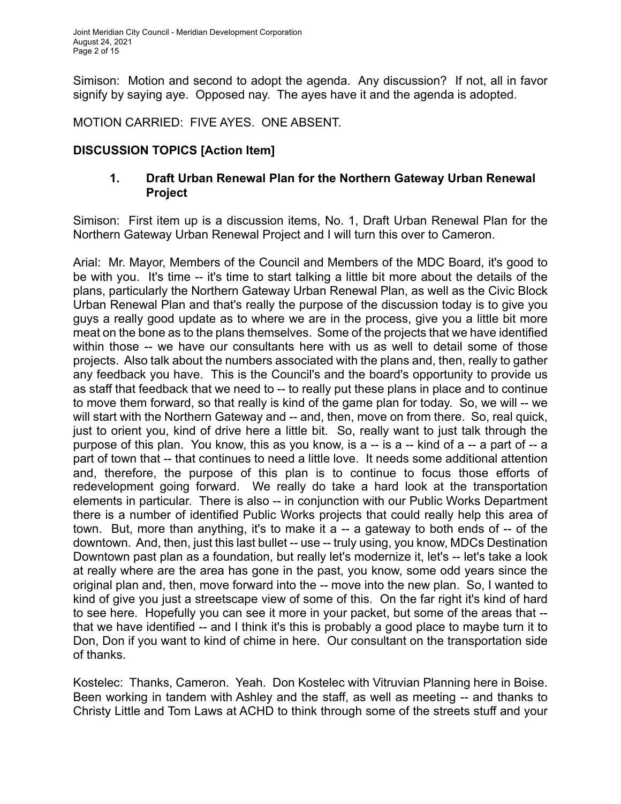Simison: Motion and second to adopt the agenda. Any discussion? If not, all in favor signify by saying aye. Opposed nay. The ayes have it and the agenda is adopted.

MOTION CARRIED: FIVE AYES. ONE ABSENT.

# **DISCUSSION TOPICS [Action Item]**

## **1. Draft Urban Renewal Plan for the Northern Gateway Urban Renewal Project**

Simison: First item up is a discussion items, No. 1, Draft Urban Renewal Plan for the Northern Gateway Urban Renewal Project and I will turn this over to Cameron.

Arial: Mr. Mayor, Members of the Council and Members of the MDC Board, it's good to be with you. It's time -- it's time to start talking a little bit more about the details of the plans, particularly the Northern Gateway Urban Renewal Plan, as well as the Civic Block Urban Renewal Plan and that's really the purpose of the discussion today is to give you guys a really good update as to where we are in the process, give you a little bit more meat on the bone as to the plans themselves. Some of the projects that we have identified within those -- we have our consultants here with us as well to detail some of those projects. Also talk about the numbers associated with the plans and, then, really to gather any feedback you have. This is the Council's and the board's opportunity to provide us as staff that feedback that we need to -- to really put these plans in place and to continue to move them forward, so that really is kind of the game plan for today. So, we will -- we will start with the Northern Gateway and -- and, then, move on from there. So, real quick, just to orient you, kind of drive here a little bit. So, really want to just talk through the purpose of this plan. You know, this as you know, is a -- is a -- kind of a -- a part of -- a part of town that -- that continues to need a little love. It needs some additional attention and, therefore, the purpose of this plan is to continue to focus those efforts of redevelopment going forward. We really do take a hard look at the transportation elements in particular. There is also -- in conjunction with our Public Works Department there is a number of identified Public Works projects that could really help this area of town. But, more than anything, it's to make it a -- a gateway to both ends of -- of the downtown. And, then, just this last bullet -- use -- truly using, you know, MDCs Destination Downtown past plan as a foundation, but really let's modernize it, let's -- let's take a look at really where are the area has gone in the past, you know, some odd years since the original plan and, then, move forward into the -- move into the new plan. So, I wanted to kind of give you just a streetscape view of some of this. On the far right it's kind of hard to see here. Hopefully you can see it more in your packet, but some of the areas that - that we have identified -- and I think it's this is probably a good place to maybe turn it to Don, Don if you want to kind of chime in here. Our consultant on the transportation side of thanks.

Kostelec: Thanks, Cameron. Yeah. Don Kostelec with Vitruvian Planning here in Boise. Been working in tandem with Ashley and the staff, as well as meeting -- and thanks to Christy Little and Tom Laws at ACHD to think through some of the streets stuff and your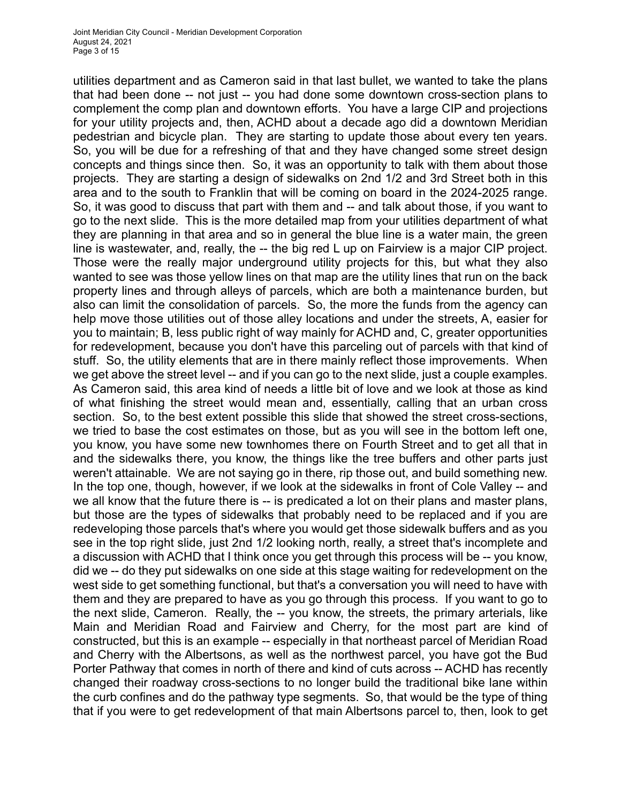utilities department and as Cameron said in that last bullet, we wanted to take the plans that had been done -- not just -- you had done some downtown cross-section plans to complement the comp plan and downtown efforts. You have a large CIP and projections for your utility projects and, then, ACHD about a decade ago did a downtown Meridian pedestrian and bicycle plan. They are starting to update those about every ten years. So, you will be due for a refreshing of that and they have changed some street design concepts and things since then. So, it was an opportunity to talk with them about those projects. They are starting a design of sidewalks on 2nd 1/2 and 3rd Street both in this area and to the south to Franklin that will be coming on board in the 2024-2025 range. So, it was good to discuss that part with them and -- and talk about those, if you want to go to the next slide. This is the more detailed map from your utilities department of what they are planning in that area and so in general the blue line is a water main, the green line is wastewater, and, really, the -- the big red L up on Fairview is a major CIP project. Those were the really major underground utility projects for this, but what they also wanted to see was those yellow lines on that map are the utility lines that run on the back property lines and through alleys of parcels, which are both a maintenance burden, but also can limit the consolidation of parcels. So, the more the funds from the agency can help move those utilities out of those alley locations and under the streets, A, easier for you to maintain; B, less public right of way mainly for ACHD and, C, greater opportunities for redevelopment, because you don't have this parceling out of parcels with that kind of stuff. So, the utility elements that are in there mainly reflect those improvements. When we get above the street level -- and if you can go to the next slide, just a couple examples. As Cameron said, this area kind of needs a little bit of love and we look at those as kind of what finishing the street would mean and, essentially, calling that an urban cross section. So, to the best extent possible this slide that showed the street cross-sections, we tried to base the cost estimates on those, but as you will see in the bottom left one, you know, you have some new townhomes there on Fourth Street and to get all that in and the sidewalks there, you know, the things like the tree buffers and other parts just weren't attainable. We are not saying go in there, rip those out, and build something new. In the top one, though, however, if we look at the sidewalks in front of Cole Valley -- and we all know that the future there is -- is predicated a lot on their plans and master plans, but those are the types of sidewalks that probably need to be replaced and if you are redeveloping those parcels that's where you would get those sidewalk buffers and as you see in the top right slide, just 2nd 1/2 looking north, really, a street that's incomplete and a discussion with ACHD that I think once you get through this process will be -- you know, did we -- do they put sidewalks on one side at this stage waiting for redevelopment on the west side to get something functional, but that's a conversation you will need to have with them and they are prepared to have as you go through this process. If you want to go to the next slide, Cameron. Really, the -- you know, the streets, the primary arterials, like Main and Meridian Road and Fairview and Cherry, for the most part are kind of constructed, but this is an example -- especially in that northeast parcel of Meridian Road and Cherry with the Albertsons, as well as the northwest parcel, you have got the Bud Porter Pathway that comes in north of there and kind of cuts across -- ACHD has recently changed their roadway cross-sections to no longer build the traditional bike lane within the curb confines and do the pathway type segments. So, that would be the type of thing that if you were to get redevelopment of that main Albertsons parcel to, then, look to get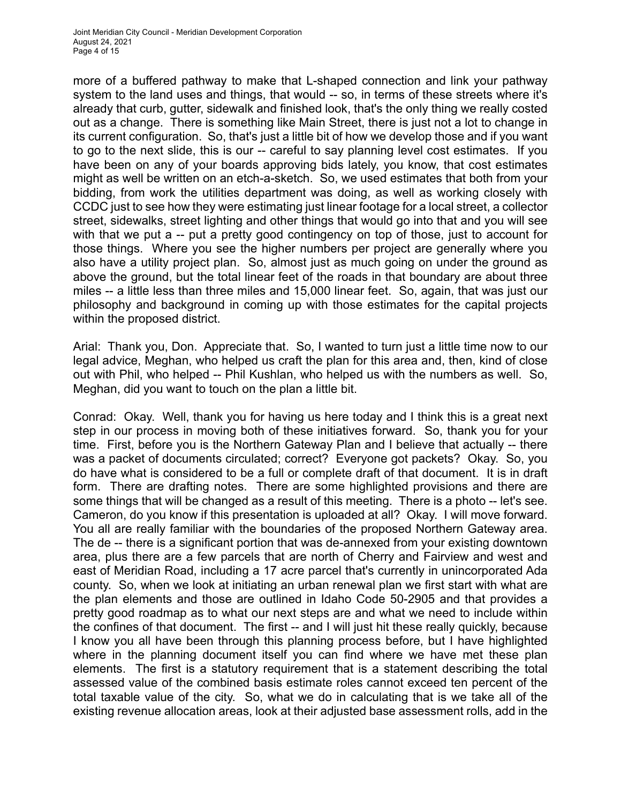more of a buffered pathway to make that L-shaped connection and link your pathway system to the land uses and things, that would -- so, in terms of these streets where it's already that curb, gutter, sidewalk and finished look, that's the only thing we really costed out as a change. There is something like Main Street, there is just not a lot to change in its current configuration. So, that's just a little bit of how we develop those and if you want to go to the next slide, this is our -- careful to say planning level cost estimates. If you have been on any of your boards approving bids lately, you know, that cost estimates might as well be written on an etch-a-sketch. So, we used estimates that both from your bidding, from work the utilities department was doing, as well as working closely with CCDC just to see how they were estimating just linear footage for a local street, a collector street, sidewalks, street lighting and other things that would go into that and you will see with that we put a -- put a pretty good contingency on top of those, just to account for those things. Where you see the higher numbers per project are generally where you also have a utility project plan. So, almost just as much going on under the ground as above the ground, but the total linear feet of the roads in that boundary are about three miles -- a little less than three miles and 15,000 linear feet. So, again, that was just our philosophy and background in coming up with those estimates for the capital projects within the proposed district.

Arial: Thank you, Don. Appreciate that. So, I wanted to turn just a little time now to our legal advice, Meghan, who helped us craft the plan for this area and, then, kind of close out with Phil, who helped -- Phil Kushlan, who helped us with the numbers as well. So, Meghan, did you want to touch on the plan a little bit.

Conrad: Okay. Well, thank you for having us here today and I think this is a great next step in our process in moving both of these initiatives forward. So, thank you for your time. First, before you is the Northern Gateway Plan and I believe that actually -- there was a packet of documents circulated; correct? Everyone got packets? Okay. So, you do have what is considered to be a full or complete draft of that document. It is in draft form. There are drafting notes. There are some highlighted provisions and there are some things that will be changed as a result of this meeting. There is a photo -- let's see. Cameron, do you know if this presentation is uploaded at all? Okay. I will move forward. You all are really familiar with the boundaries of the proposed Northern Gateway area. The de -- there is a significant portion that was de-annexed from your existing downtown area, plus there are a few parcels that are north of Cherry and Fairview and west and east of Meridian Road, including a 17 acre parcel that's currently in unincorporated Ada county. So, when we look at initiating an urban renewal plan we first start with what are the plan elements and those are outlined in Idaho Code 50-2905 and that provides a pretty good roadmap as to what our next steps are and what we need to include within the confines of that document. The first -- and I will just hit these really quickly, because I know you all have been through this planning process before, but I have highlighted where in the planning document itself you can find where we have met these plan elements. The first is a statutory requirement that is a statement describing the total assessed value of the combined basis estimate roles cannot exceed ten percent of the total taxable value of the city. So, what we do in calculating that is we take all of the existing revenue allocation areas, look at their adjusted base assessment rolls, add in the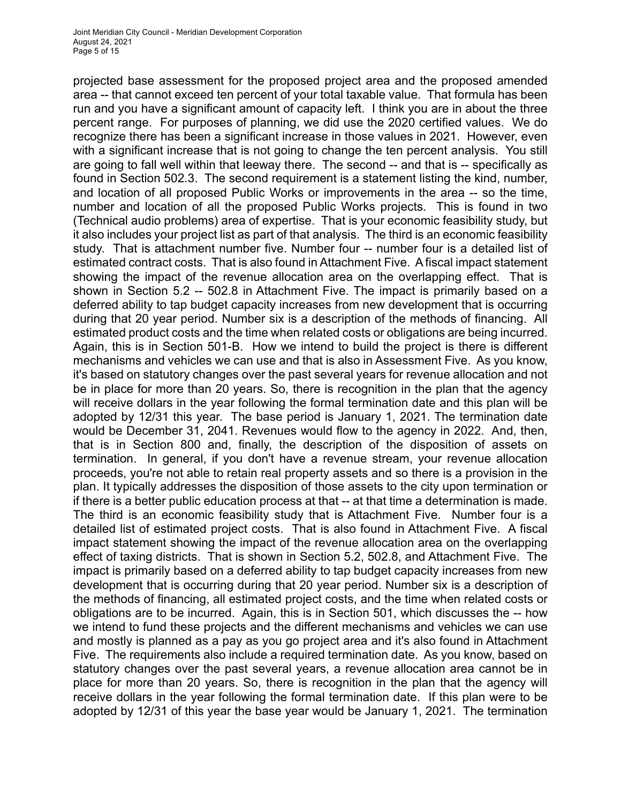projected base assessment for the proposed project area and the proposed amended area -- that cannot exceed ten percent of your total taxable value. That formula has been run and you have a significant amount of capacity left. I think you are in about the three percent range. For purposes of planning, we did use the 2020 certified values. We do recognize there has been a significant increase in those values in 2021. However, even with a significant increase that is not going to change the ten percent analysis. You still are going to fall well within that leeway there. The second -- and that is -- specifically as found in Section 502.3. The second requirement is a statement listing the kind, number, and location of all proposed Public Works or improvements in the area -- so the time, number and location of all the proposed Public Works projects. This is found in two (Technical audio problems) area of expertise. That is your economic feasibility study, but it also includes your project list as part of that analysis. The third is an economic feasibility study. That is attachment number five. Number four -- number four is a detailed list of estimated contract costs. That is also found in Attachment Five. A fiscal impact statement showing the impact of the revenue allocation area on the overlapping effect. That is shown in Section 5.2 -- 502.8 in Attachment Five. The impact is primarily based on a deferred ability to tap budget capacity increases from new development that is occurring during that 20 year period. Number six is a description of the methods of financing. All estimated product costs and the time when related costs or obligations are being incurred. Again, this is in Section 501-B. How we intend to build the project is there is different mechanisms and vehicles we can use and that is also in Assessment Five. As you know, it's based on statutory changes over the past several years for revenue allocation and not be in place for more than 20 years. So, there is recognition in the plan that the agency will receive dollars in the year following the formal termination date and this plan will be adopted by 12/31 this year. The base period is January 1, 2021. The termination date would be December 31, 2041. Revenues would flow to the agency in 2022. And, then, that is in Section 800 and, finally, the description of the disposition of assets on termination. In general, if you don't have a revenue stream, your revenue allocation proceeds, you're not able to retain real property assets and so there is a provision in the plan. It typically addresses the disposition of those assets to the city upon termination or if there is a better public education process at that -- at that time a determination is made. The third is an economic feasibility study that is Attachment Five. Number four is a detailed list of estimated project costs. That is also found in Attachment Five. A fiscal impact statement showing the impact of the revenue allocation area on the overlapping effect of taxing districts. That is shown in Section 5.2, 502.8, and Attachment Five. The impact is primarily based on a deferred ability to tap budget capacity increases from new development that is occurring during that 20 year period. Number six is a description of the methods of financing, all estimated project costs, and the time when related costs or obligations are to be incurred. Again, this is in Section 501, which discusses the -- how we intend to fund these projects and the different mechanisms and vehicles we can use and mostly is planned as a pay as you go project area and it's also found in Attachment Five. The requirements also include a required termination date. As you know, based on statutory changes over the past several years, a revenue allocation area cannot be in place for more than 20 years. So, there is recognition in the plan that the agency will receive dollars in the year following the formal termination date. If this plan were to be adopted by 12/31 of this year the base year would be January 1, 2021. The termination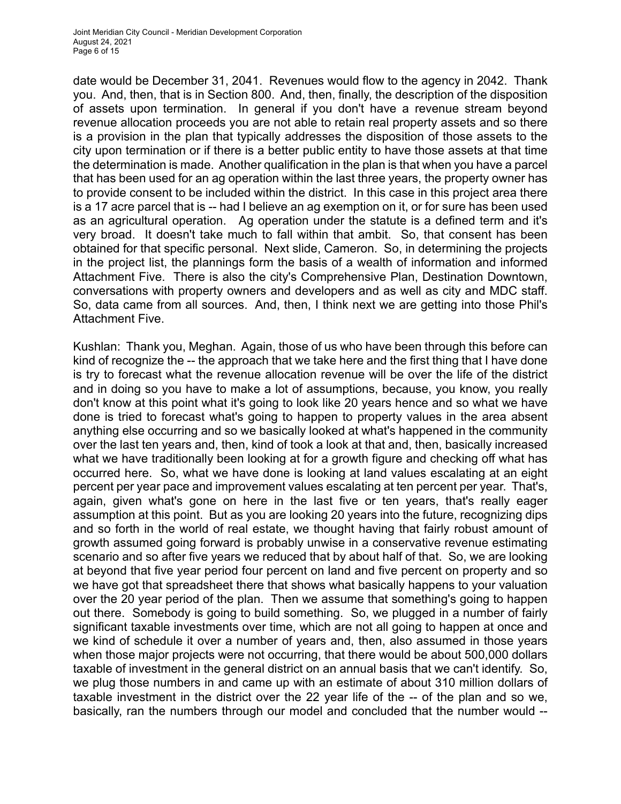date would be December 31, 2041. Revenues would flow to the agency in 2042. Thank you. And, then, that is in Section 800. And, then, finally, the description of the disposition of assets upon termination. In general if you don't have a revenue stream beyond revenue allocation proceeds you are not able to retain real property assets and so there is a provision in the plan that typically addresses the disposition of those assets to the city upon termination or if there is a better public entity to have those assets at that time the determination is made. Another qualification in the plan is that when you have a parcel that has been used for an ag operation within the last three years, the property owner has to provide consent to be included within the district. In this case in this project area there is a 17 acre parcel that is -- had I believe an ag exemption on it, or for sure has been used as an agricultural operation. Ag operation under the statute is a defined term and it's very broad. It doesn't take much to fall within that ambit. So, that consent has been obtained for that specific personal. Next slide, Cameron. So, in determining the projects in the project list, the plannings form the basis of a wealth of information and informed Attachment Five. There is also the city's Comprehensive Plan, Destination Downtown, conversations with property owners and developers and as well as city and MDC staff. So, data came from all sources. And, then, I think next we are getting into those Phil's Attachment Five.

Kushlan: Thank you, Meghan. Again, those of us who have been through this before can kind of recognize the -- the approach that we take here and the first thing that I have done is try to forecast what the revenue allocation revenue will be over the life of the district and in doing so you have to make a lot of assumptions, because, you know, you really don't know at this point what it's going to look like 20 years hence and so what we have done is tried to forecast what's going to happen to property values in the area absent anything else occurring and so we basically looked at what's happened in the community over the last ten years and, then, kind of took a look at that and, then, basically increased what we have traditionally been looking at for a growth figure and checking off what has occurred here. So, what we have done is looking at land values escalating at an eight percent per year pace and improvement values escalating at ten percent per year. That's, again, given what's gone on here in the last five or ten years, that's really eager assumption at this point. But as you are looking 20 years into the future, recognizing dips and so forth in the world of real estate, we thought having that fairly robust amount of growth assumed going forward is probably unwise in a conservative revenue estimating scenario and so after five years we reduced that by about half of that. So, we are looking at beyond that five year period four percent on land and five percent on property and so we have got that spreadsheet there that shows what basically happens to your valuation over the 20 year period of the plan. Then we assume that something's going to happen out there. Somebody is going to build something. So, we plugged in a number of fairly significant taxable investments over time, which are not all going to happen at once and we kind of schedule it over a number of years and, then, also assumed in those years when those major projects were not occurring, that there would be about 500,000 dollars taxable of investment in the general district on an annual basis that we can't identify. So, we plug those numbers in and came up with an estimate of about 310 million dollars of taxable investment in the district over the 22 year life of the -- of the plan and so we, basically, ran the numbers through our model and concluded that the number would --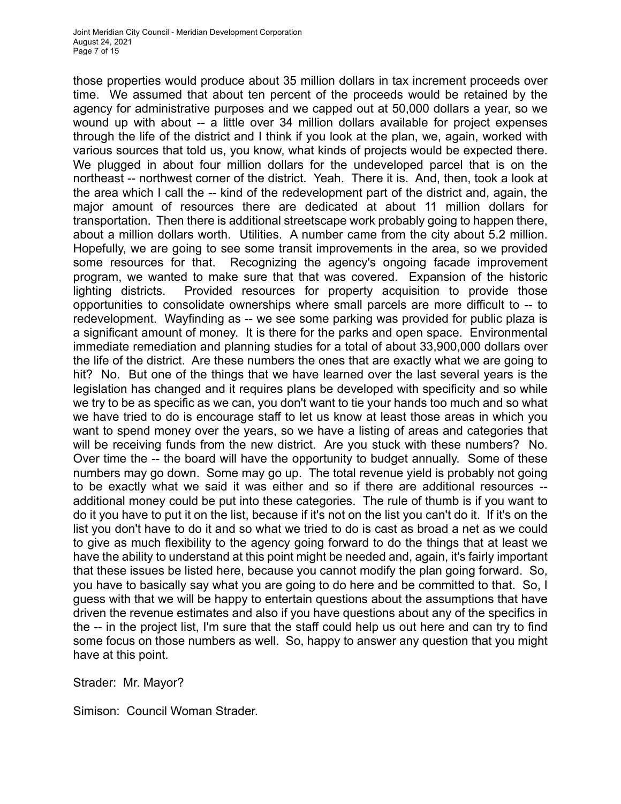those properties would produce about 35 million dollars in tax increment proceeds over time. We assumed that about ten percent of the proceeds would be retained by the agency for administrative purposes and we capped out at 50,000 dollars a year, so we wound up with about -- a little over 34 million dollars available for project expenses through the life of the district and I think if you look at the plan, we, again, worked with various sources that told us, you know, what kinds of projects would be expected there. We plugged in about four million dollars for the undeveloped parcel that is on the northeast -- northwest corner of the district. Yeah. There it is. And, then, took a look at the area which I call the -- kind of the redevelopment part of the district and, again, the major amount of resources there are dedicated at about 11 million dollars for transportation. Then there is additional streetscape work probably going to happen there, about a million dollars worth. Utilities. A number came from the city about 5.2 million. Hopefully, we are going to see some transit improvements in the area, so we provided some resources for that. Recognizing the agency's ongoing facade improvement program, we wanted to make sure that that was covered. Expansion of the historic lighting districts. Provided resources for property acquisition to provide those opportunities to consolidate ownerships where small parcels are more difficult to -- to redevelopment. Wayfinding as -- we see some parking was provided for public plaza is a significant amount of money. It is there for the parks and open space. Environmental immediate remediation and planning studies for a total of about 33,900,000 dollars over the life of the district. Are these numbers the ones that are exactly what we are going to hit? No. But one of the things that we have learned over the last several years is the legislation has changed and it requires plans be developed with specificity and so while we try to be as specific as we can, you don't want to tie your hands too much and so what we have tried to do is encourage staff to let us know at least those areas in which you want to spend money over the years, so we have a listing of areas and categories that will be receiving funds from the new district. Are you stuck with these numbers? No. Over time the -- the board will have the opportunity to budget annually. Some of these numbers may go down. Some may go up. The total revenue yield is probably not going to be exactly what we said it was either and so if there are additional resources - additional money could be put into these categories. The rule of thumb is if you want to do it you have to put it on the list, because if it's not on the list you can't do it. If it's on the list you don't have to do it and so what we tried to do is cast as broad a net as we could to give as much flexibility to the agency going forward to do the things that at least we have the ability to understand at this point might be needed and, again, it's fairly important that these issues be listed here, because you cannot modify the plan going forward. So, you have to basically say what you are going to do here and be committed to that. So, I guess with that we will be happy to entertain questions about the assumptions that have driven the revenue estimates and also if you have questions about any of the specifics in the -- in the project list, I'm sure that the staff could help us out here and can try to find some focus on those numbers as well. So, happy to answer any question that you might have at this point.

Strader: Mr. Mayor?

Simison: Council Woman Strader.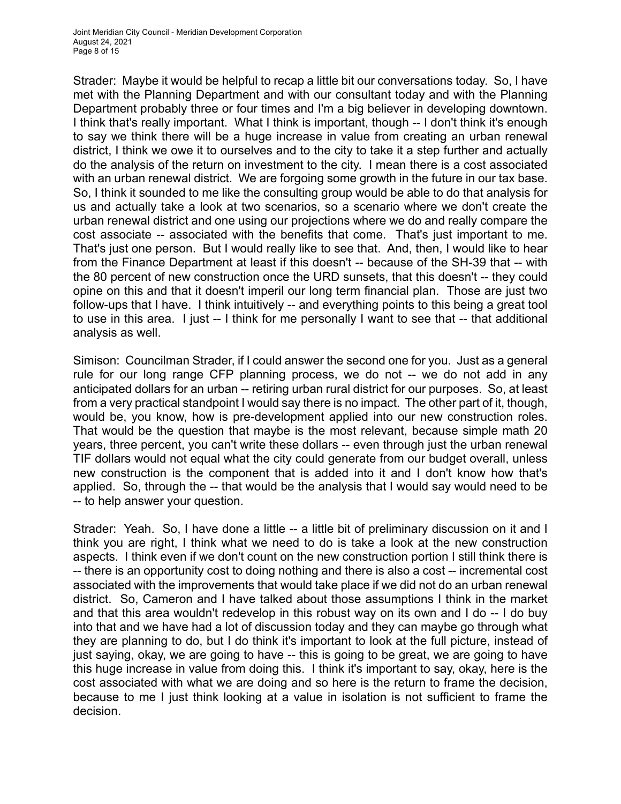Strader: Maybe it would be helpful to recap a little bit our conversations today. So, I have met with the Planning Department and with our consultant today and with the Planning Department probably three or four times and I'm a big believer in developing downtown. I think that's really important. What I think is important, though -- I don't think it's enough to say we think there will be a huge increase in value from creating an urban renewal district, I think we owe it to ourselves and to the city to take it a step further and actually do the analysis of the return on investment to the city. I mean there is a cost associated with an urban renewal district. We are forgoing some growth in the future in our tax base. So, I think it sounded to me like the consulting group would be able to do that analysis for us and actually take a look at two scenarios, so a scenario where we don't create the urban renewal district and one using our projections where we do and really compare the cost associate -- associated with the benefits that come. That's just important to me. That's just one person. But I would really like to see that. And, then, I would like to hear from the Finance Department at least if this doesn't -- because of the SH-39 that -- with the 80 percent of new construction once the URD sunsets, that this doesn't -- they could opine on this and that it doesn't imperil our long term financial plan. Those are just two follow-ups that I have. I think intuitively -- and everything points to this being a great tool to use in this area. I just -- I think for me personally I want to see that -- that additional analysis as well.

Simison: Councilman Strader, if I could answer the second one for you. Just as a general rule for our long range CFP planning process, we do not -- we do not add in any anticipated dollars for an urban -- retiring urban rural district for our purposes. So, at least from a very practical standpoint I would say there is no impact. The other part of it, though, would be, you know, how is pre-development applied into our new construction roles. That would be the question that maybe is the most relevant, because simple math 20 years, three percent, you can't write these dollars -- even through just the urban renewal TIF dollars would not equal what the city could generate from our budget overall, unless new construction is the component that is added into it and I don't know how that's applied. So, through the -- that would be the analysis that I would say would need to be -- to help answer your question.

Strader: Yeah. So, I have done a little -- a little bit of preliminary discussion on it and I think you are right, I think what we need to do is take a look at the new construction aspects. I think even if we don't count on the new construction portion I still think there is -- there is an opportunity cost to doing nothing and there is also a cost -- incremental cost associated with the improvements that would take place if we did not do an urban renewal district. So, Cameron and I have talked about those assumptions I think in the market and that this area wouldn't redevelop in this robust way on its own and I do -- I do buy into that and we have had a lot of discussion today and they can maybe go through what they are planning to do, but I do think it's important to look at the full picture, instead of just saying, okay, we are going to have -- this is going to be great, we are going to have this huge increase in value from doing this. I think it's important to say, okay, here is the cost associated with what we are doing and so here is the return to frame the decision, because to me I just think looking at a value in isolation is not sufficient to frame the decision.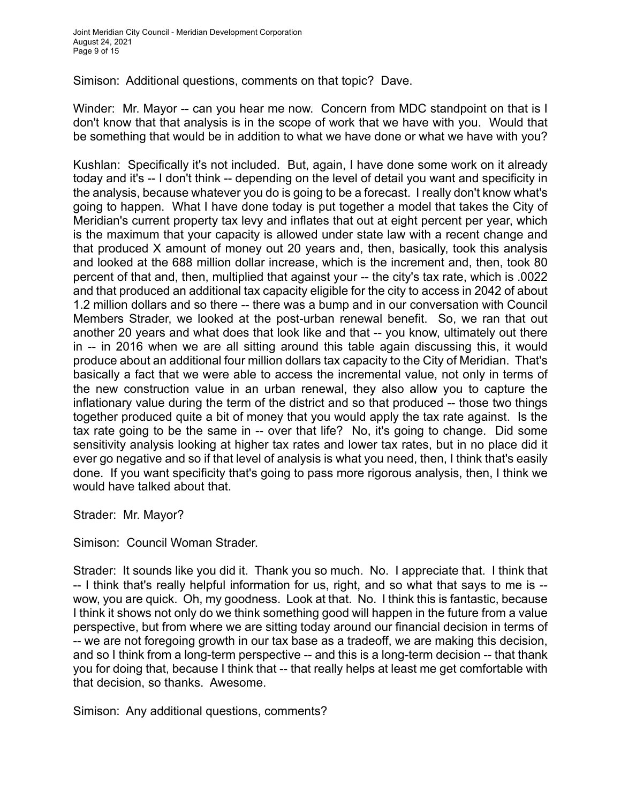Simison: Additional questions, comments on that topic? Dave.

Winder: Mr. Mayor -- can you hear me now. Concern from MDC standpoint on that is I don't know that that analysis is in the scope of work that we have with you. Would that be something that would be in addition to what we have done or what we have with you?

Kushlan: Specifically it's not included. But, again, I have done some work on it already today and it's -- I don't think -- depending on the level of detail you want and specificity in the analysis, because whatever you do is going to be a forecast. I really don't know what's going to happen. What I have done today is put together a model that takes the City of Meridian's current property tax levy and inflates that out at eight percent per year, which is the maximum that your capacity is allowed under state law with a recent change and that produced X amount of money out 20 years and, then, basically, took this analysis and looked at the 688 million dollar increase, which is the increment and, then, took 80 percent of that and, then, multiplied that against your -- the city's tax rate, which is .0022 and that produced an additional tax capacity eligible for the city to access in 2042 of about 1.2 million dollars and so there -- there was a bump and in our conversation with Council Members Strader, we looked at the post-urban renewal benefit. So, we ran that out another 20 years and what does that look like and that -- you know, ultimately out there in -- in 2016 when we are all sitting around this table again discussing this, it would produce about an additional four million dollars tax capacity to the City of Meridian. That's basically a fact that we were able to access the incremental value, not only in terms of the new construction value in an urban renewal, they also allow you to capture the inflationary value during the term of the district and so that produced -- those two things together produced quite a bit of money that you would apply the tax rate against. Is the tax rate going to be the same in -- over that life? No, it's going to change. Did some sensitivity analysis looking at higher tax rates and lower tax rates, but in no place did it ever go negative and so if that level of analysis is what you need, then, I think that's easily done. If you want specificity that's going to pass more rigorous analysis, then, I think we would have talked about that.

Strader: Mr. Mayor?

Simison: Council Woman Strader.

Strader: It sounds like you did it. Thank you so much. No. I appreciate that. I think that -- I think that's really helpful information for us, right, and so what that says to me is - wow, you are quick. Oh, my goodness. Look at that. No. I think this is fantastic, because I think it shows not only do we think something good will happen in the future from a value perspective, but from where we are sitting today around our financial decision in terms of -- we are not foregoing growth in our tax base as a tradeoff, we are making this decision, and so I think from a long-term perspective -- and this is a long-term decision -- that thank you for doing that, because I think that -- that really helps at least me get comfortable with that decision, so thanks. Awesome.

Simison: Any additional questions, comments?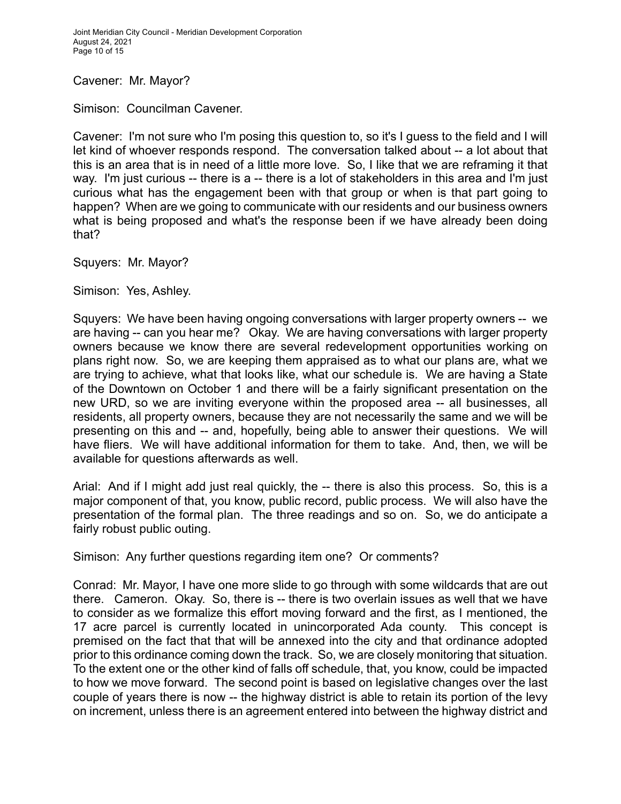Joint Meridian City Council - Meridian Development Corporation August 24, 2021 Page 10 of 15

Cavener: Mr. Mayor?

Simison: Councilman Cavener.

Cavener: I'm not sure who I'm posing this question to, so it's I guess to the field and I will let kind of whoever responds respond. The conversation talked about -- a lot about that this is an area that is in need of a little more love. So, I like that we are reframing it that way. I'm just curious -- there is a -- there is a lot of stakeholders in this area and I'm just curious what has the engagement been with that group or when is that part going to happen? When are we going to communicate with our residents and our business owners what is being proposed and what's the response been if we have already been doing that?

Squyers: Mr. Mayor?

Simison: Yes, Ashley.

Squyers: We have been having ongoing conversations with larger property owners -- we are having -- can you hear me? Okay. We are having conversations with larger property owners because we know there are several redevelopment opportunities working on plans right now. So, we are keeping them appraised as to what our plans are, what we are trying to achieve, what that looks like, what our schedule is. We are having a State of the Downtown on October 1 and there will be a fairly significant presentation on the new URD, so we are inviting everyone within the proposed area -- all businesses, all residents, all property owners, because they are not necessarily the same and we will be presenting on this and -- and, hopefully, being able to answer their questions. We will have fliers. We will have additional information for them to take. And, then, we will be available for questions afterwards as well.

Arial: And if I might add just real quickly, the -- there is also this process. So, this is a major component of that, you know, public record, public process. We will also have the presentation of the formal plan. The three readings and so on. So, we do anticipate a fairly robust public outing.

Simison: Any further questions regarding item one? Or comments?

Conrad: Mr. Mayor, I have one more slide to go through with some wildcards that are out there. Cameron. Okay. So, there is -- there is two overlain issues as well that we have to consider as we formalize this effort moving forward and the first, as I mentioned, the 17 acre parcel is currently located in unincorporated Ada county. This concept is premised on the fact that that will be annexed into the city and that ordinance adopted prior to this ordinance coming down the track. So, we are closely monitoring that situation. To the extent one or the other kind of falls off schedule, that, you know, could be impacted to how we move forward. The second point is based on legislative changes over the last couple of years there is now -- the highway district is able to retain its portion of the levy on increment, unless there is an agreement entered into between the highway district and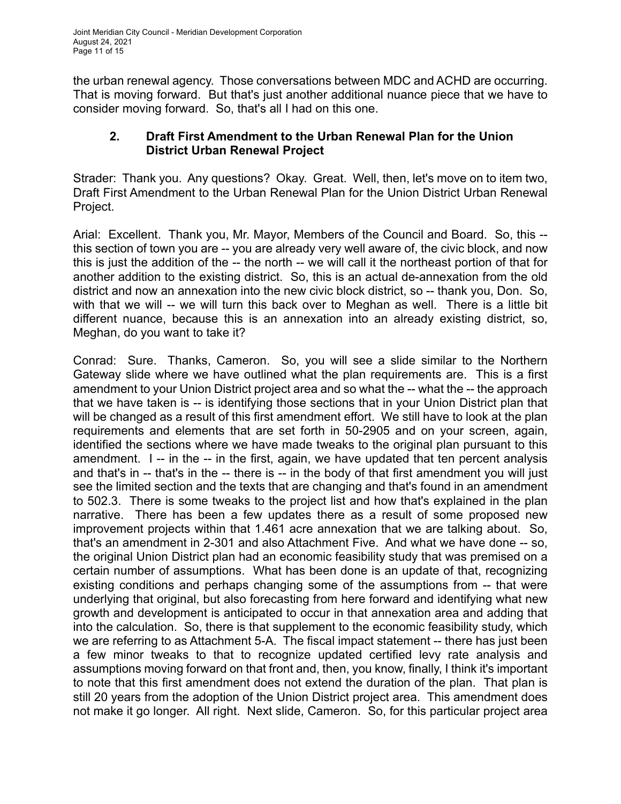the urban renewal agency. Those conversations between MDC and ACHD are occurring. That is moving forward. But that's just another additional nuance piece that we have to consider moving forward. So, that's all I had on this one.

## **2. Draft First Amendment to the Urban Renewal Plan for the Union District Urban Renewal Project**

Strader: Thank you. Any questions? Okay. Great. Well, then, let's move on to item two, Draft First Amendment to the Urban Renewal Plan for the Union District Urban Renewal Project.

Arial: Excellent. Thank you, Mr. Mayor, Members of the Council and Board. So, this - this section of town you are -- you are already very well aware of, the civic block, and now this is just the addition of the -- the north -- we will call it the northeast portion of that for another addition to the existing district. So, this is an actual de-annexation from the old district and now an annexation into the new civic block district, so -- thank you, Don. So, with that we will -- we will turn this back over to Meghan as well. There is a little bit different nuance, because this is an annexation into an already existing district, so, Meghan, do you want to take it?

Conrad: Sure. Thanks, Cameron. So, you will see a slide similar to the Northern Gateway slide where we have outlined what the plan requirements are. This is a first amendment to your Union District project area and so what the -- what the -- the approach that we have taken is -- is identifying those sections that in your Union District plan that will be changed as a result of this first amendment effort. We still have to look at the plan requirements and elements that are set forth in 50-2905 and on your screen, again, identified the sections where we have made tweaks to the original plan pursuant to this amendment. I -- in the -- in the first, again, we have updated that ten percent analysis and that's in -- that's in the -- there is -- in the body of that first amendment you will just see the limited section and the texts that are changing and that's found in an amendment to 502.3. There is some tweaks to the project list and how that's explained in the plan narrative. There has been a few updates there as a result of some proposed new improvement projects within that 1.461 acre annexation that we are talking about. So, that's an amendment in 2-301 and also Attachment Five. And what we have done -- so, the original Union District plan had an economic feasibility study that was premised on a certain number of assumptions. What has been done is an update of that, recognizing existing conditions and perhaps changing some of the assumptions from -- that were underlying that original, but also forecasting from here forward and identifying what new growth and development is anticipated to occur in that annexation area and adding that into the calculation. So, there is that supplement to the economic feasibility study, which we are referring to as Attachment 5-A. The fiscal impact statement -- there has just been a few minor tweaks to that to recognize updated certified levy rate analysis and assumptions moving forward on that front and, then, you know, finally, I think it's important to note that this first amendment does not extend the duration of the plan. That plan is still 20 years from the adoption of the Union District project area. This amendment does not make it go longer. All right. Next slide, Cameron. So, for this particular project area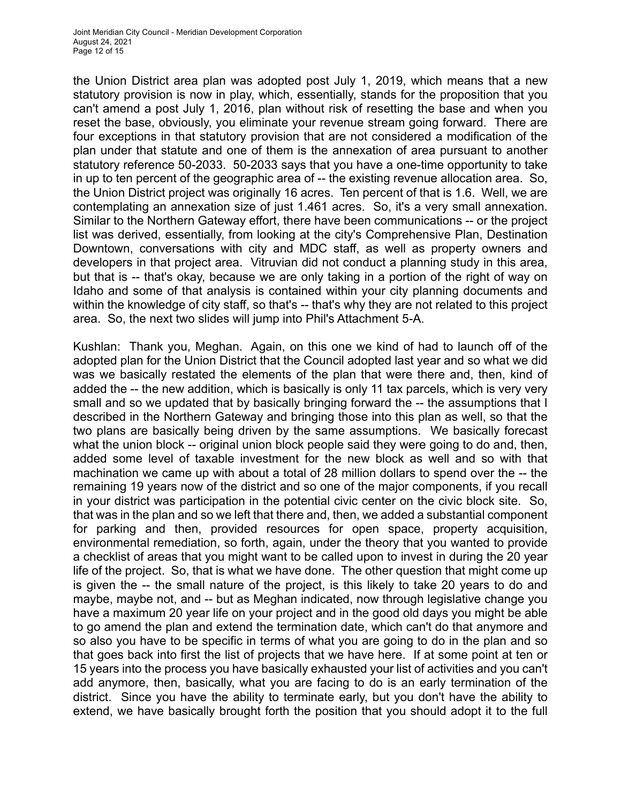the Union District area plan was adopted post July 1, 2019, which means that a new statutory provision is now in play, which, essentially, stands for the proposition that you can't amend a post July 1, 2016, plan without risk of resetting the base and when you reset the base, obviously, you eliminate your revenue stream going forward. There are four exceptions in that statutory provision that are not considered a modification of the plan under that statute and one of them is the annexation of area pursuant to another statutory reference 50-2033. 50-2033 says that you have a one-time opportunity to take in up to ten percent of the geographic area of -- the existing revenue allocation area. So, the Union District project was originally 16 acres. Ten percent of that is 1.6. Well, we are contemplating an annexation size of just 1.461 acres. So, it's a very small annexation. Similar to the Northern Gateway effort, there have been communications -- or the project list was derived, essentially, from looking at the city's Comprehensive Plan, Destination Downtown, conversations with city and MDC staff, as well as property owners and developers in that project area. Vitruvian did not conduct a planning study in this area, but that is -- that's okay, because we are only taking in a portion of the right of way on Idaho and some of that analysis is contained within your city planning documents and within the knowledge of city staff, so that's -- that's why they are not related to this project area. So, the next two slides will jump into Phil's Attachment 5-A.

Kushlan: Thank you, Meghan. Again, on this one we kind of had to launch off of the adopted plan for the Union District that the Council adopted last year and so what we did was we basically restated the elements of the plan that were there and, then, kind of added the -- the new addition, which is basically is only 11 tax parcels, which is very very small and so we updated that by basically bringing forward the -- the assumptions that I described in the Northern Gateway and bringing those into this plan as well, so that the two plans are basically being driven by the same assumptions. We basically forecast what the union block -- original union block people said they were going to do and, then, added some level of taxable investment for the new block as well and so with that machination we came up with about a total of 28 million dollars to spend over the -- the remaining 19 years now of the district and so one of the major components, if you recall in your district was participation in the potential civic center on the civic block site. So, that was in the plan and so we left that there and, then, we added a substantial component for parking and then, provided resources for open space, property acquisition, environmental remediation, so forth, again, under the theory that you wanted to provide a checklist of areas that you might want to be called upon to invest in during the 20 year life of the project. So, that is what we have done. The other question that might come up is given the -- the small nature of the project, is this likely to take 20 years to do and maybe, maybe not, and -- but as Meghan indicated, now through legislative change you have a maximum 20 year life on your project and in the good old days you might be able to go amend the plan and extend the termination date, which can't do that anymore and so also you have to be specific in terms of what you are going to do in the plan and so that goes back into first the list of projects that we have here. If at some point at ten or 15 years into the process you have basically exhausted your list of activities and you can't add anymore, then, basically, what you are facing to do is an early termination of the district. Since you have the ability to terminate early, but you don't have the ability to extend, we have basically brought forth the position that you should adopt it to the full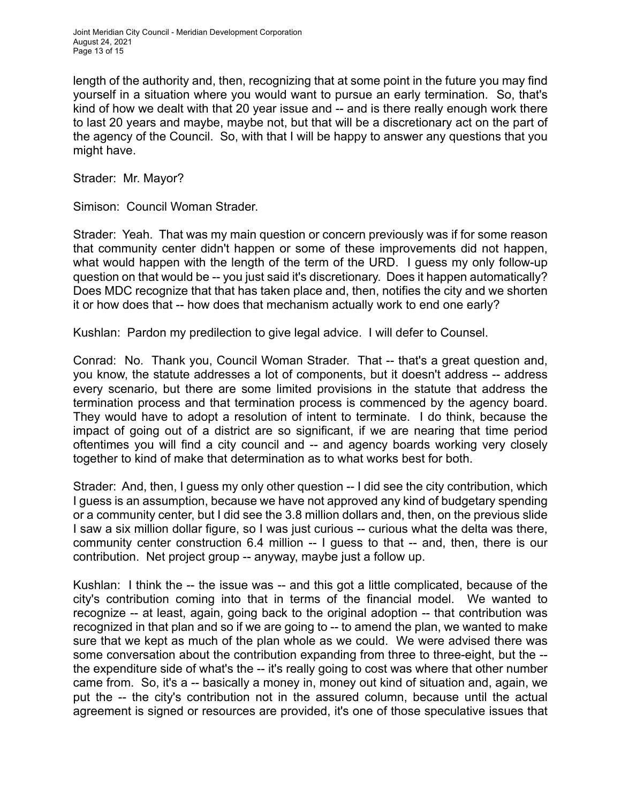Joint Meridian City Council - Meridian Development Corporation August 24, 2021 Page 13 of 15

length of the authority and, then, recognizing that at some point in the future you may find yourself in a situation where you would want to pursue an early termination. So, that's kind of how we dealt with that 20 year issue and -- and is there really enough work there to last 20 years and maybe, maybe not, but that will be a discretionary act on the part of the agency of the Council. So, with that I will be happy to answer any questions that you might have.

Strader: Mr. Mayor?

Simison: Council Woman Strader.

Strader: Yeah. That was my main question or concern previously was if for some reason that community center didn't happen or some of these improvements did not happen, what would happen with the length of the term of the URD. I guess my only follow-up question on that would be -- you just said it's discretionary. Does it happen automatically? Does MDC recognize that that has taken place and, then, notifies the city and we shorten it or how does that -- how does that mechanism actually work to end one early?

Kushlan: Pardon my predilection to give legal advice. I will defer to Counsel.

Conrad: No. Thank you, Council Woman Strader. That -- that's a great question and, you know, the statute addresses a lot of components, but it doesn't address -- address every scenario, but there are some limited provisions in the statute that address the termination process and that termination process is commenced by the agency board. They would have to adopt a resolution of intent to terminate. I do think, because the impact of going out of a district are so significant, if we are nearing that time period oftentimes you will find a city council and -- and agency boards working very closely together to kind of make that determination as to what works best for both.

Strader: And, then, I guess my only other question -- I did see the city contribution, which I guess is an assumption, because we have not approved any kind of budgetary spending or a community center, but I did see the 3.8 million dollars and, then, on the previous slide I saw a six million dollar figure, so I was just curious -- curious what the delta was there, community center construction 6.4 million -- I guess to that -- and, then, there is our contribution. Net project group -- anyway, maybe just a follow up.

Kushlan: I think the -- the issue was -- and this got a little complicated, because of the city's contribution coming into that in terms of the financial model. We wanted to recognize -- at least, again, going back to the original adoption -- that contribution was recognized in that plan and so if we are going to -- to amend the plan, we wanted to make sure that we kept as much of the plan whole as we could. We were advised there was some conversation about the contribution expanding from three to three-eight, but the - the expenditure side of what's the -- it's really going to cost was where that other number came from. So, it's a -- basically a money in, money out kind of situation and, again, we put the -- the city's contribution not in the assured column, because until the actual agreement is signed or resources are provided, it's one of those speculative issues that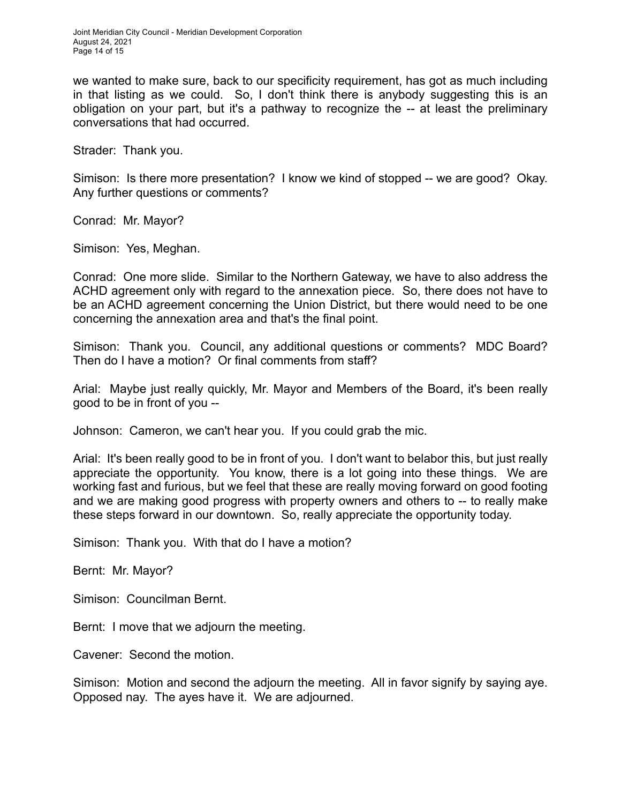we wanted to make sure, back to our specificity requirement, has got as much including in that listing as we could. So, I don't think there is anybody suggesting this is an obligation on your part, but it's a pathway to recognize the -- at least the preliminary conversations that had occurred.

Strader: Thank you.

Simison: Is there more presentation? I know we kind of stopped -- we are good? Okay. Any further questions or comments?

Conrad: Mr. Mayor?

Simison: Yes, Meghan.

Conrad: One more slide. Similar to the Northern Gateway, we have to also address the ACHD agreement only with regard to the annexation piece. So, there does not have to be an ACHD agreement concerning the Union District, but there would need to be one concerning the annexation area and that's the final point.

Simison: Thank you. Council, any additional questions or comments? MDC Board? Then do I have a motion? Or final comments from staff?

Arial: Maybe just really quickly, Mr. Mayor and Members of the Board, it's been really good to be in front of you --

Johnson: Cameron, we can't hear you. If you could grab the mic.

Arial: It's been really good to be in front of you. I don't want to belabor this, but just really appreciate the opportunity. You know, there is a lot going into these things. We are working fast and furious, but we feel that these are really moving forward on good footing and we are making good progress with property owners and others to -- to really make these steps forward in our downtown. So, really appreciate the opportunity today.

Simison: Thank you. With that do I have a motion?

Bernt: Mr. Mayor?

Simison: Councilman Bernt.

Bernt: I move that we adjourn the meeting.

Cavener: Second the motion.

Simison: Motion and second the adjourn the meeting. All in favor signify by saying aye. Opposed nay. The ayes have it. We are adjourned.